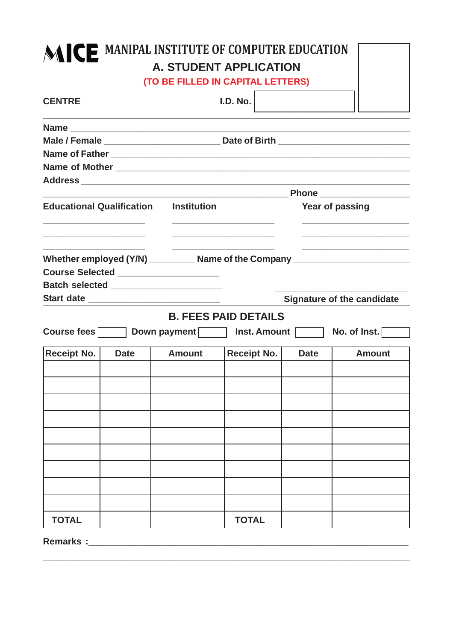## **MICE MANIPAL INSTITUTE OF COMPUTER EDUCATION A. STUDENT APPLICATION**

**(TO BE FILLED IN CAPITAL LETTERS)**

| <b>CENTRE</b>                                                                                                         |  |                                        | I.D. No.                                                                                                             |                 |                                                                                  |  |  |  |  |  |  |  |  |
|-----------------------------------------------------------------------------------------------------------------------|--|----------------------------------------|----------------------------------------------------------------------------------------------------------------------|-----------------|----------------------------------------------------------------------------------|--|--|--|--|--|--|--|--|
|                                                                                                                       |  |                                        |                                                                                                                      |                 |                                                                                  |  |  |  |  |  |  |  |  |
|                                                                                                                       |  |                                        |                                                                                                                      |                 |                                                                                  |  |  |  |  |  |  |  |  |
|                                                                                                                       |  |                                        |                                                                                                                      |                 |                                                                                  |  |  |  |  |  |  |  |  |
|                                                                                                                       |  |                                        |                                                                                                                      |                 |                                                                                  |  |  |  |  |  |  |  |  |
|                                                                                                                       |  |                                        |                                                                                                                      |                 |                                                                                  |  |  |  |  |  |  |  |  |
|                                                                                                                       |  |                                        |                                                                                                                      |                 | <b>Example 2018 Phone</b> 2019 19:30:30 Phone                                    |  |  |  |  |  |  |  |  |
| <b>Educational Qualification Institution</b>                                                                          |  |                                        |                                                                                                                      | Year of passing |                                                                                  |  |  |  |  |  |  |  |  |
| <u> 1989 - Johann Barn, mars and de Branch Barn, mars and de Branch Barn, mars and de Branch Barn, mars and de Br</u> |  | Course Selected ____________________   | <u> 1989 - Johann Stein, mars and de Brandenburg and de Brandenburg and de Brandenburg and de Brandenburg and de</u> |                 | Whether employed (Y/N) __________ Name of the Company __________________________ |  |  |  |  |  |  |  |  |
|                                                                                                                       |  | Batch selected _______________________ |                                                                                                                      |                 |                                                                                  |  |  |  |  |  |  |  |  |
|                                                                                                                       |  |                                        |                                                                                                                      |                 | <b>Signature of the candidate</b>                                                |  |  |  |  |  |  |  |  |
|                                                                                                                       |  | <b>B. FEES PAID DETAILS</b>            |                                                                                                                      |                 |                                                                                  |  |  |  |  |  |  |  |  |
|                                                                                                                       |  | Course fees Down payment Inst. Amount  |                                                                                                                      |                 | No. of Inst. $\Box$                                                              |  |  |  |  |  |  |  |  |
| <b>Receipt No.</b><br><b>Date</b>                                                                                     |  | <b>Amount</b>                          | Receipt No.                                                                                                          | <b>Date</b>     | <b>Amount</b>                                                                    |  |  |  |  |  |  |  |  |
|                                                                                                                       |  |                                        |                                                                                                                      |                 |                                                                                  |  |  |  |  |  |  |  |  |
|                                                                                                                       |  |                                        |                                                                                                                      |                 |                                                                                  |  |  |  |  |  |  |  |  |
|                                                                                                                       |  |                                        |                                                                                                                      |                 |                                                                                  |  |  |  |  |  |  |  |  |
|                                                                                                                       |  |                                        |                                                                                                                      |                 |                                                                                  |  |  |  |  |  |  |  |  |
|                                                                                                                       |  |                                        |                                                                                                                      |                 |                                                                                  |  |  |  |  |  |  |  |  |
|                                                                                                                       |  |                                        |                                                                                                                      |                 |                                                                                  |  |  |  |  |  |  |  |  |
|                                                                                                                       |  |                                        |                                                                                                                      |                 |                                                                                  |  |  |  |  |  |  |  |  |
|                                                                                                                       |  |                                        |                                                                                                                      |                 |                                                                                  |  |  |  |  |  |  |  |  |
|                                                                                                                       |  |                                        |                                                                                                                      |                 |                                                                                  |  |  |  |  |  |  |  |  |
| <b>TOTAL</b>                                                                                                          |  |                                        | <b>TOTAL</b>                                                                                                         |                 |                                                                                  |  |  |  |  |  |  |  |  |

**\_\_\_\_\_\_\_\_\_\_\_\_\_\_\_\_\_\_\_\_\_\_\_\_\_\_\_\_\_\_\_\_\_\_\_\_\_\_\_\_\_\_\_\_\_\_\_\_\_\_\_\_\_\_\_\_\_\_\_\_\_\_\_\_\_\_\_\_\_\_\_\_**

Remarks :